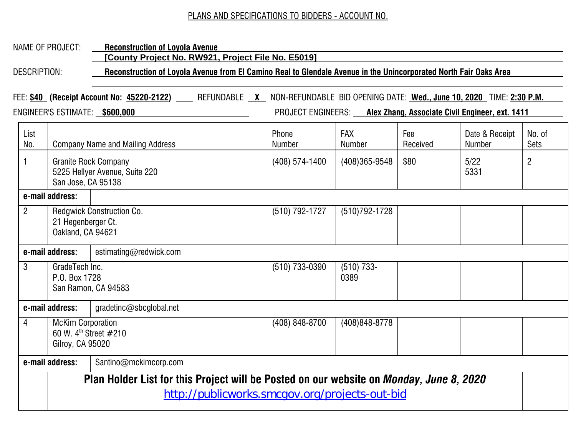## PLANS AND SPECIFICATIONS TO BIDDERS - ACCOUNT NO.

## NAME OF PROJECT: **Reconstruction of Loyola Avenue**

**[County Project No. RW921, Project File No. E5019]**

DESCRIPTION: **Reconstruction of Loyola Avenue from El Camino Real to Glendale Avenue in the Unincorporated North Fair Oaks Area**

FEE: **\$40 (Receipt Account No: 45220-2122)** REFUNDABLE **X** NON-REFUNDABLE BID OPENING DATE: **Wed., June 10, 2020** TIME: **2:30 P.M.**  ENGINEER'S ESTIMATE: **\$600,000** PROJECT ENGINEERS: **Alex Zhang, Associate Civil Engineer, ext. 1411** List No. Company Name and Mailing Address Phone Number FAX Number Fee Received Date & Receipt Number No. of Sets 1 Granite Rock Company 5225 Hellyer Avenue, Suite 220 San Jose, CA 95138  $(408)$  574-1400  $(408)$ 365-9548  $\frac{1}{3}$ \$80  $\frac{1}{5}$  5/22 5331 2 **e-mail address:** 2 | Redgwick Construction Co. 21 Hegenberger Ct. Oakland, CA 94621 (510) 792-1727 (510)792-1728 **e-mail address:** estimating@redwick.com 3 GradeTech Inc. P.O. Box 1728 San Ramon, CA 94583 (510) 733-0390 (510) 733- 0389 **e-mail address:** gradetinc@sbcglobal.net 4 McKim Corporation 60 W. 4th Street #210 Gilroy, CA 95020 (408) 848-8700 (408)848-8778 **e-mail address:** | Santino@mckimcorp.com **Plan Holder List for this Project will be Posted on our website on** *Monday, June 8, 2020* http://publicworks.smcgov.org/projects-out-bid